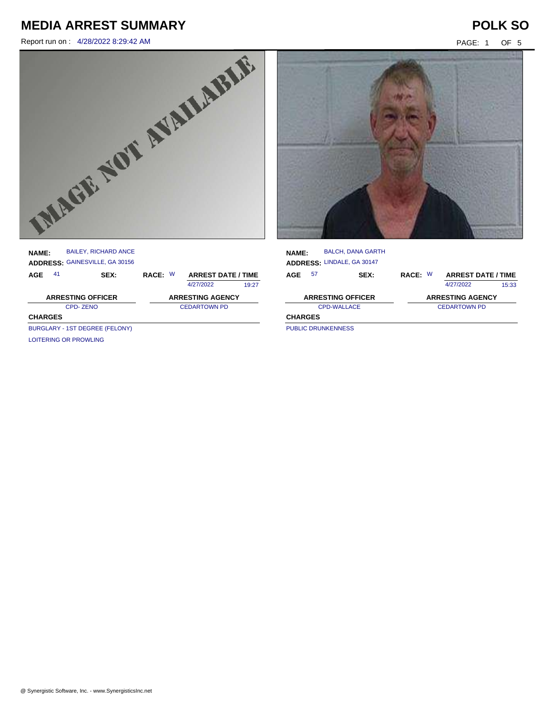Report run on : 4/28/2022 8:29:42 AM PAGE: 1 OF 5



| <b>NAME:</b>             |    | <b>BAILEY, RICHARD ANCE</b><br>ADDRESS: GAINESVILLE, GA 30156 |                         |  |                           |       |  |
|--------------------------|----|---------------------------------------------------------------|-------------------------|--|---------------------------|-------|--|
| AGE                      | 41 | SEX:                                                          | RACE: W                 |  | <b>ARREST DATE / TIME</b> |       |  |
|                          |    |                                                               |                         |  | 4/27/2022                 | 19:27 |  |
| <b>ARRESTING OFFICER</b> |    |                                                               | <b>ARRESTING AGENCY</b> |  |                           |       |  |
|                          |    |                                                               |                         |  |                           |       |  |
|                          |    | CPD-ZENO                                                      |                         |  | <b>CEDARTOWN PD</b>       |       |  |
| <b>CHARGES</b>           |    |                                                               |                         |  |                           |       |  |
|                          |    | BURGLARY - 1ST DEGREE (FELONY)                                |                         |  |                           |       |  |



| <b>NAME:</b>   |    | <b>BALCH, DANA GARTH</b>   |         |                           |       |
|----------------|----|----------------------------|---------|---------------------------|-------|
|                |    | ADDRESS: LINDALE, GA 30147 |         |                           |       |
| AGE            | 57 | SEX:                       | RACE: W | <b>ARREST DATE / TIME</b> |       |
|                |    |                            |         | 4/27/2022                 | 15:33 |
|                |    | <b>ARRESTING OFFICER</b>   |         | <b>ARRESTING AGENCY</b>   |       |
|                |    | CPD-WALLACE                |         | <b>CEDARTOWN PD</b>       |       |
| <b>CHARGES</b> |    |                            |         |                           |       |
|                |    | <b>PUBLIC DRUNKENNESS</b>  |         |                           |       |

PUBLIC DRUNKENNESS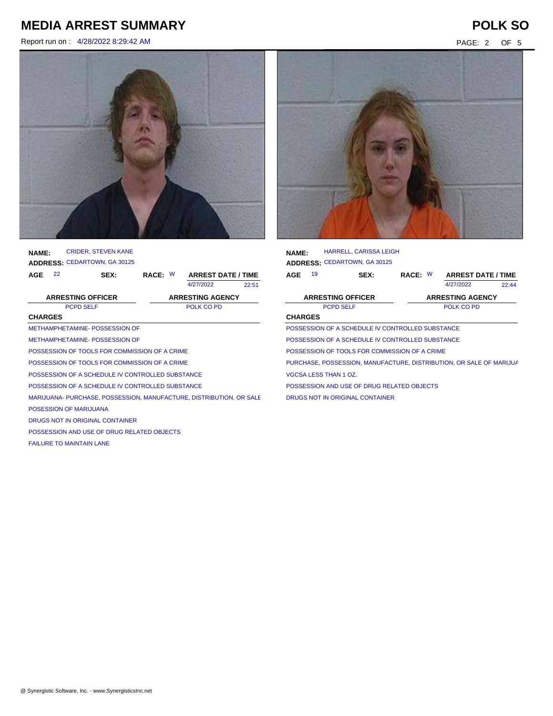Report run on : 4/28/2022 8:29:42 AM PAGE: 2 OF 5



| <b>NAME:</b>   |    | <b>CRIDER. STEVEN KANE</b>                                          |         |                           |       |  |
|----------------|----|---------------------------------------------------------------------|---------|---------------------------|-------|--|
|                |    | <b>ADDRESS: CEDARTOWN, GA 30125</b>                                 |         |                           |       |  |
| AGE            | 22 | SEX:                                                                | RACE: W | <b>ARREST DATE / TIME</b> |       |  |
|                |    |                                                                     |         | 4/27/2022                 | 22:51 |  |
|                |    | <b>ARRESTING OFFICER</b>                                            |         | <b>ARRESTING AGENCY</b>   |       |  |
|                |    | <b>PCPD SELF</b>                                                    |         | POLK CO PD                |       |  |
| <b>CHARGES</b> |    |                                                                     |         |                           |       |  |
|                |    | METHAMPHETAMINE- POSSESSION OF                                      |         |                           |       |  |
|                |    | METHAMPHETAMINE- POSSESSION OF                                      |         |                           |       |  |
|                |    | POSSESSION OF TOOLS FOR COMMISSION OF A CRIME                       |         |                           |       |  |
|                |    | POSSESSION OF TOOLS FOR COMMISSION OF A CRIME                       |         |                           |       |  |
|                |    | POSSESSION OF A SCHEDULE IV CONTROLLED SUBSTANCE                    |         |                           |       |  |
|                |    | POSSESSION OF A SCHEDULE IV CONTROLLED SUBSTANCE                    |         |                           |       |  |
|                |    | MARIJUANA- PURCHASE, POSSESSION, MANUFACTURE, DISTRIBUTION, OR SALE |         |                           |       |  |
|                |    | POSESSION OF MARIJUANA                                              |         |                           |       |  |
|                |    | DRUGS NOT IN ORIGINAL CONTAINER                                     |         |                           |       |  |
|                |    | POSSESSION AND USE OF DRUG RELATED OBJECTS                          |         |                           |       |  |
|                |    | <b>FAILURE TO MAINTAIN LANE</b>                                     |         |                           |       |  |
|                |    |                                                                     |         |                           |       |  |



| <b>NAME:</b>   |    | <b>HARRELL, CARISSA LEIGH</b>                                       |         |                           |       |
|----------------|----|---------------------------------------------------------------------|---------|---------------------------|-------|
|                |    | <b>ADDRESS: CEDARTOWN, GA 30125</b>                                 |         |                           |       |
| AGE            | 19 | SEX:                                                                | RACE: W | <b>ARREST DATE / TIME</b> |       |
|                |    |                                                                     |         | 4/27/2022                 | 22.44 |
|                |    | <b>ARRESTING OFFICER</b>                                            |         | <b>ARRESTING AGENCY</b>   |       |
|                |    | <b>PCPD SELF</b>                                                    |         | POLK CO PD                |       |
| <b>CHARGES</b> |    |                                                                     |         |                           |       |
|                |    | POSSESSION OF A SCHEDULE IV CONTROLLED SUBSTANCE                    |         |                           |       |
|                |    | POSSESSION OF A SCHEDULE IV CONTROLLED SUBSTANCE                    |         |                           |       |
|                |    | POSSESSION OF TOOLS FOR COMMISSION OF A CRIME                       |         |                           |       |
|                |    | PURCHASE, POSSESSION, MANUFACTURE, DISTRIBUTION, OR SALE OF MARIJUA |         |                           |       |
|                |    | VGCSA LESS THAN 1 OZ.                                               |         |                           |       |
|                |    | POSSESSION AND USE OF DRUG RELATED OBJECTS                          |         |                           |       |
|                |    | DRUGS NOT IN ORIGINAL CONTAINER                                     |         |                           |       |
|                |    |                                                                     |         |                           |       |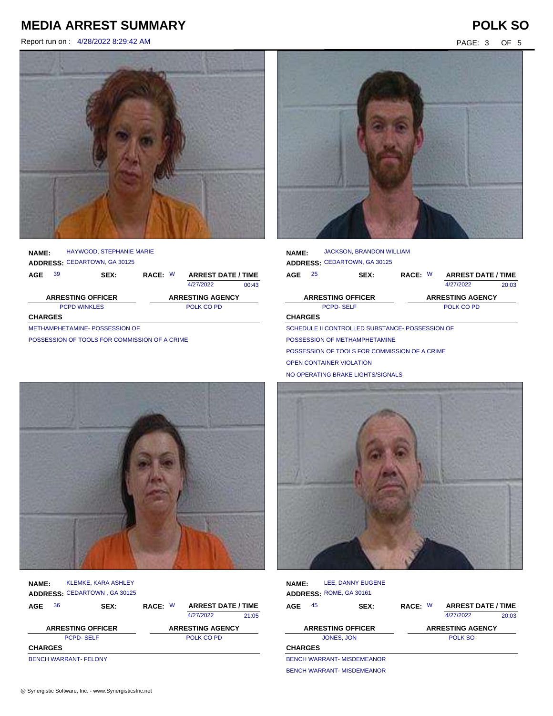Report run on : 4/28/2022 8:29:42 AM PAGE: 3 OF 5



| <b>NAME:</b>   |    | HAYWOOD, STEPHANIE MARIE<br><b>ADDRESS: CEDARTOWN, GA 30125</b> |         |                           |       |
|----------------|----|-----------------------------------------------------------------|---------|---------------------------|-------|
| AGE            | 39 | <b>SEX:</b>                                                     | RACE: W | <b>ARREST DATE / TIME</b> |       |
|                |    |                                                                 |         | 4/27/2022                 | 00:43 |
|                |    | <b>ARRESTING OFFICER</b>                                        |         | <b>ARRESTING AGENCY</b>   |       |
|                |    | <b>PCPD WINKLES</b>                                             |         | POLK CO PD                |       |
| <b>CHARGES</b> |    |                                                                 |         |                           |       |
|                |    | METHAMPHETAMINE-POSSESSION OF                                   |         |                           |       |

POSSESSION OF TOOLS FOR COMMISSION OF A CRIME



| <b>NAME:</b>   |                  | <b>JACKSON, BRANDON WILLIAM</b>                 |            |  |                           |       |
|----------------|------------------|-------------------------------------------------|------------|--|---------------------------|-------|
|                |                  | ADDRESS: CEDARTOWN, GA 30125                    |            |  |                           |       |
| AGE            | 25               | SEX:                                            | RACE: W    |  | <b>ARREST DATE / TIME</b> |       |
|                |                  |                                                 |            |  | 4/27/2022                 | 20:03 |
|                |                  | <b>ARRESTING OFFICER</b>                        |            |  | <b>ARRESTING AGENCY</b>   |       |
|                | <b>PCPD-SELF</b> |                                                 | POLK CO PD |  |                           |       |
| <b>CHARGES</b> |                  |                                                 |            |  |                           |       |
|                |                  | SCHEDULE II CONTROLLED SUBSTANCE- POSSESSION OF |            |  |                           |       |
|                |                  | POSSESSION OF METHAMPHETAMINE                   |            |  |                           |       |
|                |                  | POSSESSION OF TOOLS FOR COMMISSION OF A CRIME   |            |  |                           |       |
|                |                  | <b>OPEN CONTAINER VIOLATION</b>                 |            |  |                           |       |

NO OPERATING BRAKE LIGHTS/SIGNALS



| <b>NAME:</b>   |    | <b>KLEMKE, KARA ASHLEY</b><br>ADDRESS: CEDARTOWN, GA 30125 |         |                           |       |
|----------------|----|------------------------------------------------------------|---------|---------------------------|-------|
| AGE            | 36 | SEX:                                                       | RACE: W | <b>ARREST DATE / TIME</b> |       |
|                |    |                                                            |         | 4/27/2022                 | 21:05 |
|                |    | <b>ARRESTING OFFICER</b>                                   |         | <b>ARRESTING AGENCY</b>   |       |
|                |    | <b>PCPD-SELF</b>                                           |         | POLK CO PD                |       |
| <b>CHARGES</b> |    |                                                            |         |                           |       |
|                |    | <b>BENCH WARRANT- FELONY</b>                               |         |                           |       |



| <b>NAME:</b>             |    | LEE, DANNY EUGENE<br>ADDRESS: ROME, GA 30161 |                         |  |                           |       |  |
|--------------------------|----|----------------------------------------------|-------------------------|--|---------------------------|-------|--|
| AGE                      | 45 | SEX:                                         | RACE: W                 |  | <b>ARREST DATE / TIME</b> |       |  |
|                          |    |                                              |                         |  | 4/27/2022                 | 20:03 |  |
| <b>ARRESTING OFFICER</b> |    |                                              | <b>ARRESTING AGENCY</b> |  |                           |       |  |
|                          |    | JONES, JON                                   |                         |  | <b>POLK SO</b>            |       |  |
| <b>CHARGES</b>           |    |                                              |                         |  |                           |       |  |
|                          |    | <b>BENCH WARRANT- MISDEMEANOR</b>            |                         |  |                           |       |  |
|                          |    | <b>BENCH WARRANT- MISDEMEANOR</b>            |                         |  |                           |       |  |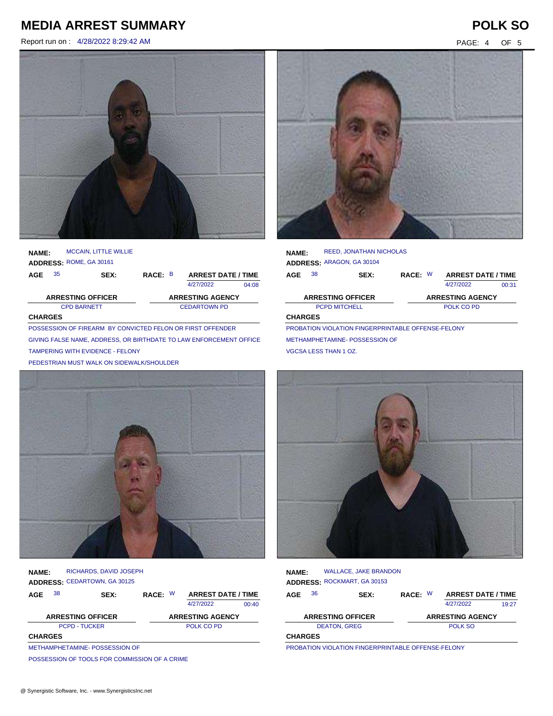Report run on : 4/28/2022 8:29:42 AM PAGE: 4 OF 5





| <b>NAME:</b> |                                                            | <b>MCCAIN, LITTLE WILLIE</b> |                     |                         |                           |       |  |  |  |
|--------------|------------------------------------------------------------|------------------------------|---------------------|-------------------------|---------------------------|-------|--|--|--|
|              | ADDRESS: ROME, GA 30161                                    |                              |                     |                         |                           |       |  |  |  |
| AGE          | 35                                                         | SEX:                         | RACE: B             |                         | <b>ARREST DATE / TIME</b> |       |  |  |  |
|              |                                                            |                              |                     |                         | 4/27/2022                 | 04:08 |  |  |  |
|              | <b>ARRESTING OFFICER</b>                                   |                              |                     | <b>ARRESTING AGENCY</b> |                           |       |  |  |  |
|              |                                                            | <b>CPD BARNETT</b>           | <b>CEDARTOWN PD</b> |                         |                           |       |  |  |  |
|              | <b>CHARGES</b>                                             |                              |                     |                         |                           |       |  |  |  |
|              | POSSESSION OF FIREARM BY CONVICTED FELON OR FIRST OFFENDER |                              |                     |                         |                           |       |  |  |  |
|              |                                                            |                              |                     |                         |                           |       |  |  |  |

GIVING FALSE NAME, ADDRESS, OR BIRTHDATE TO LAW ENFORCEMENT OFFICER TAMPERING WITH EVIDENCE - FELONY

PEDESTRIAN MUST WALK ON SIDEWALK/SHOULDER



| <b>NAME:</b>   | RICHARDS, DAVID JOSEPH<br>ADDRESS: CEDARTOWN, GA 30125 |         |                         |                           |
|----------------|--------------------------------------------------------|---------|-------------------------|---------------------------|
| 38<br>AGE      | SEX:                                                   | RACE: W |                         | <b>ARREST DATE / TIME</b> |
|                |                                                        |         | 4/27/2022               | $00-40$                   |
|                | <b>ARRESTING OFFICER</b>                               |         | <b>ARRESTING AGENCY</b> |                           |
|                | <b>PCPD - TUCKER</b>                                   |         | POLK CO PD              |                           |
| <b>CHARGES</b> |                                                        |         |                         |                           |
|                | METHAMPHETAMINE-POSSESSION OF                          |         |                         |                           |

POSSESSION OF TOOLS FOR COMMISSION OF A CRIME



| <b>NAME:</b>             |    | <b>REED, JONATHAN NICHOLAS</b> |         |                           |       |
|--------------------------|----|--------------------------------|---------|---------------------------|-------|
|                          |    | ADDRESS: ARAGON, GA 30104      |         |                           |       |
| AGE                      | 38 | SEX:                           | RACE: W | <b>ARREST DATE / TIME</b> |       |
|                          |    |                                |         | 4/27/2022                 | 00:31 |
| <b>ARRESTING OFFICER</b> |    |                                |         | <b>ARRESTING AGENCY</b>   |       |
| <b>PCPD MITCHELL</b>     |    |                                |         |                           |       |
|                          |    |                                |         | POLK CO PD                |       |
| <b>CHARGES</b>           |    |                                |         |                           |       |

METHAMPHETAMINE- POSSESSION OF VGCSA LESS THAN 1 OZ.



| NAME:          |    | <b>WALLACE, JAKE BRANDON</b><br>ADDRESS: ROCKMART, GA 30153  |         |                           |       |
|----------------|----|--------------------------------------------------------------|---------|---------------------------|-------|
| AGE            | 36 | SEX:                                                         | RACE: W | <b>ARREST DATE / TIME</b> |       |
|                |    |                                                              |         | 4/27/2022                 | 19.27 |
|                |    | <b>ARRESTING OFFICER</b>                                     |         | <b>ARRESTING AGENCY</b>   |       |
|                |    | <b>DEATON, GREG</b>                                          |         | POLK SO                   |       |
| <b>CHARGES</b> |    |                                                              |         |                           |       |
|                |    | <b>DROBATION VIOLATION EINCERRRITARI E OEEENICE EEI ONIV</b> |         |                           |       |

PROBATION VIOLATION FINGERPRINTABLE OFFENSE-FELONY